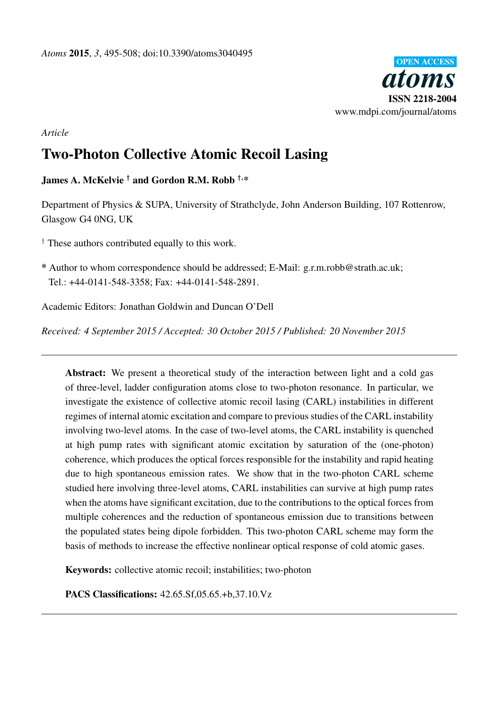

*Article*

# Two-Photon Collective Atomic Recoil Lasing

## James A. McKelvie <sup>†</sup> and Gordon R.M. Robb <sup>†,\*</sup>

Department of Physics & SUPA, University of Strathclyde, John Anderson Building, 107 Rottenrow, Glasgow G4 0NG, UK

† These authors contributed equally to this work.

\* Author to whom correspondence should be addressed; E-Mail: g.r.m.robb@strath.ac.uk; Tel.: +44-0141-548-3358; Fax: +44-0141-548-2891.

Academic Editors: Jonathan Goldwin and Duncan O'Dell

*Received: 4 September 2015 / Accepted: 30 October 2015 / Published: 20 November 2015*

Abstract: We present a theoretical study of the interaction between light and a cold gas of three-level, ladder configuration atoms close to two-photon resonance. In particular, we investigate the existence of collective atomic recoil lasing (CARL) instabilities in different regimes of internal atomic excitation and compare to previous studies of the CARL instability involving two-level atoms. In the case of two-level atoms, the CARL instability is quenched at high pump rates with significant atomic excitation by saturation of the (one-photon) coherence, which produces the optical forces responsible for the instability and rapid heating due to high spontaneous emission rates. We show that in the two-photon CARL scheme studied here involving three-level atoms, CARL instabilities can survive at high pump rates when the atoms have significant excitation, due to the contributions to the optical forces from multiple coherences and the reduction of spontaneous emission due to transitions between the populated states being dipole forbidden. This two-photon CARL scheme may form the basis of methods to increase the effective nonlinear optical response of cold atomic gases.

Keywords: collective atomic recoil; instabilities; two-photon

PACS Classifications: 42.65.Sf,05.65.+b,37.10.Vz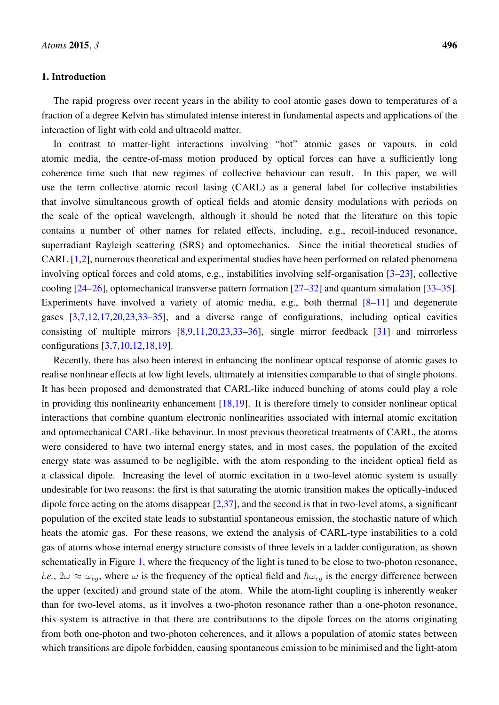### 1. Introduction

The rapid progress over recent years in the ability to cool atomic gases down to temperatures of a fraction of a degree Kelvin has stimulated intense interest in fundamental aspects and applications of the interaction of light with cold and ultracold matter.

In contrast to matter-light interactions involving "hot" atomic gases or vapours, in cold atomic media, the centre-of-mass motion produced by optical forces can have a sufficiently long coherence time such that new regimes of collective behaviour can result. In this paper, we will use the term collective atomic recoil lasing (CARL) as a general label for collective instabilities that involve simultaneous growth of optical fields and atomic density modulations with periods on the scale of the optical wavelength, although it should be noted that the literature on this topic contains a number of other names for related effects, including, e.g., recoil-induced resonance, superradiant Rayleigh scattering (SRS) and optomechanics. Since the initial theoretical studies of CARL [\[1](#page-11-0)[,2\]](#page-11-1), numerous theoretical and experimental studies have been performed on related phenomena involving optical forces and cold atoms, e.g., instabilities involving self-organisation [\[3](#page-11-2)[–23\]](#page-12-0), collective cooling [\[24](#page-12-1)[–26\]](#page-13-0), optomechanical transverse pattern formation [\[27–](#page-13-1)[32\]](#page-13-2) and quantum simulation [\[33–](#page-13-3)[35\]](#page-13-4). Experiments have involved a variety of atomic media, e.g., both thermal  $[8-11]$  $[8-11]$  and degenerate gases [\[3,](#page-11-2)[7](#page-12-4)[,12](#page-12-5)[,17](#page-12-6)[,20](#page-12-7)[,23](#page-12-0)[,33](#page-13-3)[–35\]](#page-13-4), and a diverse range of configurations, including optical cavities consisting of multiple mirrors [\[8](#page-12-2)[,9](#page-12-8)[,11,](#page-12-3)[20,](#page-12-7)[23,](#page-12-0)[33–](#page-13-3)[36\]](#page-13-5), single mirror feedback [\[31\]](#page-13-6) and mirrorless configurations [\[3,](#page-11-2)[7,](#page-12-4)[10,](#page-12-9)[12,](#page-12-5)[18,](#page-12-10)[19\]](#page-12-11).

Recently, there has also been interest in enhancing the nonlinear optical response of atomic gases to realise nonlinear effects at low light levels, ultimately at intensities comparable to that of single photons. It has been proposed and demonstrated that CARL-like induced bunching of atoms could play a role in providing this nonlinearity enhancement  $[18,19]$  $[18,19]$ . It is therefore timely to consider nonlinear optical interactions that combine quantum electronic nonlinearities associated with internal atomic excitation and optomechanical CARL-like behaviour. In most previous theoretical treatments of CARL, the atoms were considered to have two internal energy states, and in most cases, the population of the excited energy state was assumed to be negligible, with the atom responding to the incident optical field as a classical dipole. Increasing the level of atomic excitation in a two-level atomic system is usually undesirable for two reasons: the first is that saturating the atomic transition makes the optically-induced dipole force acting on the atoms disappear  $[2,37]$  $[2,37]$ , and the second is that in two-level atoms, a significant population of the excited state leads to substantial spontaneous emission, the stochastic nature of which heats the atomic gas. For these reasons, we extend the analysis of CARL-type instabilities to a cold gas of atoms whose internal energy structure consists of three levels in a ladder configuration, as shown schematically in Figure [1,](#page-2-0) where the frequency of the light is tuned to be close to two-photon resonance, *i.e.*,  $2\omega \approx \omega_{eq}$ , where  $\omega$  is the frequency of the optical field and  $\hbar \omega_{eq}$  is the energy difference between the upper (excited) and ground state of the atom. While the atom-light coupling is inherently weaker than for two-level atoms, as it involves a two-photon resonance rather than a one-photon resonance, this system is attractive in that there are contributions to the dipole forces on the atoms originating from both one-photon and two-photon coherences, and it allows a population of atomic states between which transitions are dipole forbidden, causing spontaneous emission to be minimised and the light-atom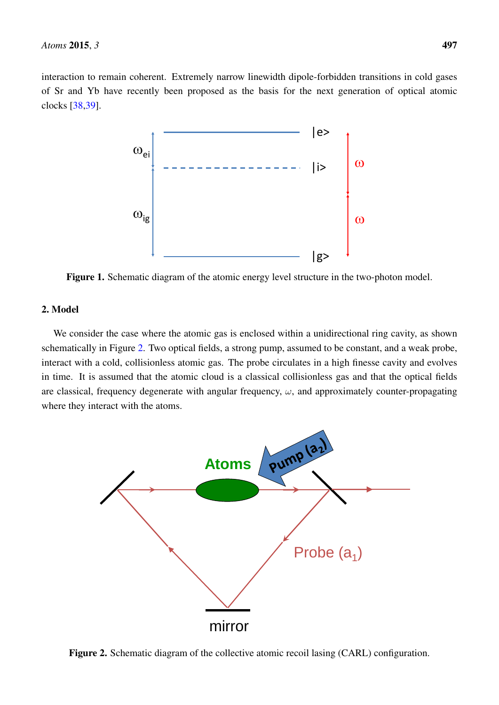<span id="page-2-0"></span>interaction to remain coherent. Extremely narrow linewidth dipole-forbidden transitions in cold gases of Sr and Yb have recently been proposed as the basis for the next generation of optical atomic clocks [\[38](#page-13-8)[,39\]](#page-13-9).



Figure 1. Schematic diagram of the atomic energy level structure in the two-photon model.

## 2. Model

We consider the case where the atomic gas is enclosed within a unidirectional ring cavity, as shown schematically in Figure [2.](#page-2-1) Two optical fields, a strong pump, assumed to be constant, and a weak probe, interact with a cold, collisionless atomic gas. The probe circulates in a high finesse cavity and evolves in time. It is assumed that the atomic cloud is a classical collisionless gas and that the optical fields are classical, frequency degenerate with angular frequency,  $\omega$ , and approximately counter-propagating where they interact with the atoms.

<span id="page-2-1"></span>

Figure 2. Schematic diagram of the collective atomic recoil lasing (CARL) configuration.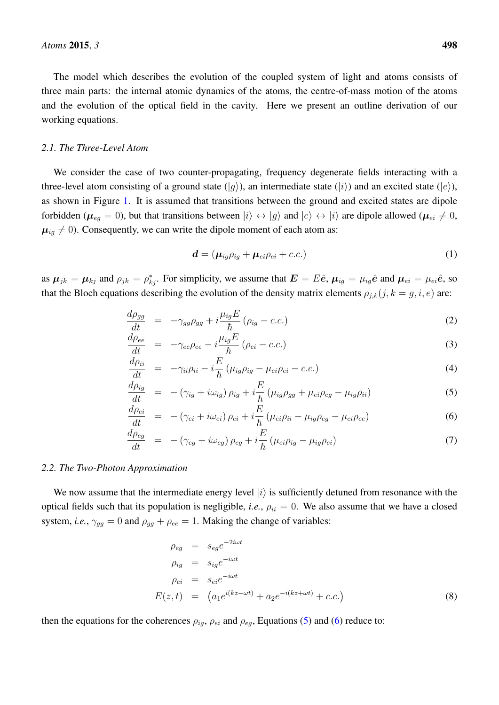The model which describes the evolution of the coupled system of light and atoms consists of three main parts: the internal atomic dynamics of the atoms, the centre-of-mass motion of the atoms and the evolution of the optical field in the cavity. Here we present an outline derivation of our working equations.

#### *2.1. The Three-Level Atom*

We consider the case of two counter-propagating, frequency degenerate fields interacting with a three-level atom consisting of a ground state  $(|q\rangle)$ , an intermediate state  $(|i\rangle)$  and an excited state  $(|e\rangle)$ , as shown in Figure [1.](#page-2-0) It is assumed that transitions between the ground and excited states are dipole forbidden ( $\mu_{eq} = 0$ ), but that transitions between  $|i\rangle \leftrightarrow |g\rangle$  and  $|e\rangle \leftrightarrow |i\rangle$  are dipole allowed ( $\mu_{ei} \neq 0$ ,  $\mu_{ig} \neq 0$ ). Consequently, we can write the dipole moment of each atom as:

<span id="page-3-2"></span>
$$
\boldsymbol{d} = (\boldsymbol{\mu}_{ig}\rho_{ig} + \boldsymbol{\mu}_{ei}\rho_{ei} + c.c.)
$$
 (1)

as  $\mu_{jk} = \mu_{kj}$  and  $\rho_{jk} = \rho_{kj}^*$ . For simplicity, we assume that  $\mathbf{E} = E\hat{e}$ ,  $\mu_{ig} = \mu_{ig}\hat{e}$  and  $\mu_{ei} = \mu_{ei}\hat{e}$ , so that the Bloch equations describing the evolution of the density matrix elements  $\rho_{j,k}(j, k = g, i, e)$  are:

<span id="page-3-0"></span>
$$
\frac{d\rho_{gg}}{dt} = -\gamma_{gg}\rho_{gg} + i\frac{\mu_{ig}E}{\hbar}(\rho_{ig} - c.c.)
$$
\n(2)

$$
\frac{d\rho_{ee}}{dt} = -\gamma_{ee}\rho_{ee} - i\frac{\mu_{ig}E}{\hbar}(\rho_{ei} - c.c.)
$$
\n(3)

$$
\frac{d\rho_{ii}}{dt} = -\gamma_{ii}\rho_{ii} - i\frac{E}{\hbar}(\mu_{ig}\rho_{ig} - \mu_{ei}\rho_{ei} - c.c.)\tag{4}
$$

$$
\frac{d\rho_{ig}}{dt} = -(\gamma_{ig} + i\omega_{ig})\rho_{ig} + i\frac{E}{\hbar}(\mu_{ig}\rho_{gg} + \mu_{ei}\rho_{eg} - \mu_{ig}\rho_{ii})
$$
\n(5)

$$
\frac{d\rho_{ei}}{dt} = -(\gamma_{ei} + i\omega_{ei})\rho_{ei} + i\frac{E}{\hbar}(\mu_{ei}\rho_{ii} - \mu_{ig}\rho_{eg} - \mu_{ei}\rho_{ee})
$$
\n(6)

$$
\frac{d\rho_{eg}}{dt} = -(\gamma_{eg} + i\omega_{eg})\,\rho_{eg} + i\frac{E}{\hbar}\,(\mu_{ei}\rho_{ig} - \mu_{ig}\rho_{ei})\tag{7}
$$

#### *2.2. The Two-Photon Approximation*

We now assume that the intermediate energy level  $|i\rangle$  is sufficiently detuned from resonance with the optical fields such that its population is negligible, *i.e.*,  $\rho_{ii} = 0$ . We also assume that we have a closed system, *i.e.*,  $\gamma_{gg} = 0$  and  $\rho_{gg} + \rho_{ee} = 1$ . Making the change of variables:

<span id="page-3-1"></span>
$$
\rho_{eg} = s_{eg}e^{-2i\omega t}
$$
\n
$$
\rho_{ig} = s_{ig}e^{-i\omega t}
$$
\n
$$
\rho_{ei} = s_{ei}e^{-i\omega t}
$$
\n
$$
E(z, t) = (a_1e^{i(kz-\omega t)} + a_2e^{-i(kz+\omega t)} + c.c.)
$$
\n(8)

then the equations for the coherences  $\rho_{ig}$ ,  $\rho_{ei}$  and  $\rho_{eg}$ , Equations [\(5\)](#page-3-0) and [\(6\)](#page-3-0) reduce to: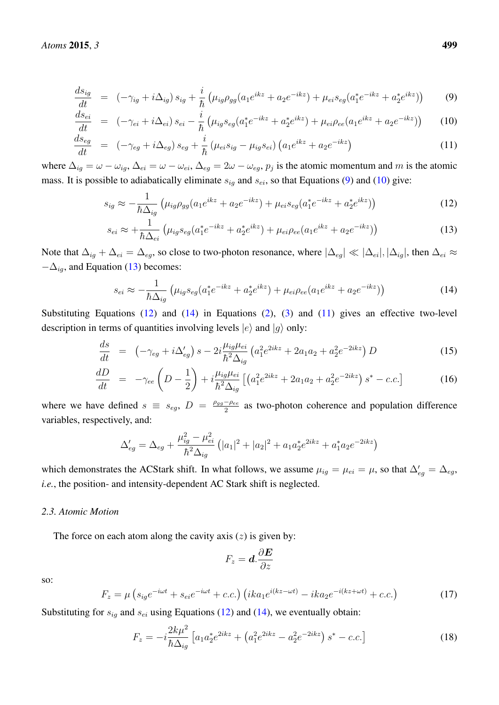<span id="page-4-0"></span>
$$
\frac{ds_{ig}}{dt} = (-\gamma_{ig} + i\Delta_{ig}) s_{ig} + \frac{i}{\hbar} \left( \mu_{ig} \rho_{gg} (a_1 e^{ikz} + a_2 e^{-ikz}) + \mu_{ei} s_{eg} (a_1^* e^{-ikz} + a_2^* e^{ikz}) \right)
$$
(9)

$$
\frac{ds_{ei}}{dt} = (-\gamma_{ei} + i\Delta_{ei}) s_{ei} - \frac{i}{\hbar} \left( \mu_{ig} s_{eg} (a_1^* e^{-ikz} + a_2^* e^{ikz}) + \mu_{ei} \rho_{ee} (a_1 e^{ikz} + a_2 e^{-ikz}) \right)
$$
(10)

$$
\frac{ds_{eg}}{dt} = (-\gamma_{eg} + i\Delta_{eg}) s_{eg} + \frac{i}{\hbar} (\mu_{ei} s_{ig} - \mu_{ig} s_{ei}) (a_1 e^{ikz} + a_2 e^{-ikz})
$$
\n(11)

where  $\Delta_{ig} = \omega - \omega_{ig}$ ,  $\Delta_{ei} = \omega - \omega_{ei}$ ,  $\Delta_{eg} = 2\omega - \omega_{eg}$ ,  $p_j$  is the atomic momentum and m is the atomic mass. It is possible to adiabatically eliminate  $s_{iq}$  and  $s_{ei}$ , so that Equations [\(9\)](#page-4-0) and [\(10\)](#page-4-0) give:

<span id="page-4-1"></span>
$$
s_{ig} \approx -\frac{1}{\hbar \Delta_{ig}} \left( \mu_{ig} \rho_{gg} (a_1 e^{ikz} + a_2 e^{-ikz}) + \mu_{ei} s_{eg} (a_1^* e^{-ikz} + a_2^* e^{ikz}) \right)
$$
(12)

$$
s_{ei} \approx +\frac{1}{\hbar \Delta_{ei}} \left( \mu_{ig} s_{eg} (a_1^* e^{-ikz} + a_2^* e^{ikz}) + \mu_{ei} \rho_{ee} (a_1 e^{ikz} + a_2 e^{-ikz}) \right)
$$
(13)

Note that  $\Delta_{ig} + \Delta_{ei} = \Delta_{eg}$ , so close to two-photon resonance, where  $|\Delta_{eg}| \ll |\Delta_{ei}|, |\Delta_{ig}|$ , then  $\Delta_{ei} \approx$  $-\Delta_{iq}$ , and Equation [\(13\)](#page-4-1) becomes:

<span id="page-4-2"></span>
$$
s_{ei} \approx -\frac{1}{\hbar \Delta_{ig}} \left( \mu_{ig} s_{eg} (a_1^* e^{-ikz} + a_2^* e^{ikz}) + \mu_{ei} \rho_{ee} (a_1 e^{ikz} + a_2 e^{-ikz}) \right)
$$
(14)

Substituting Equations  $(12)$  and  $(14)$  in Equations  $(2)$ ,  $(3)$  and  $(11)$  gives an effective two-level description in terms of quantities involving levels  $|e\rangle$  and  $|g\rangle$  only:

<span id="page-4-3"></span>
$$
\frac{ds}{dt} = \left(-\gamma_{eg} + i\Delta'_{eg}\right)s - 2i\frac{\mu_{ig}\mu_{ei}}{\hbar^2 \Delta_{ig}}\left(a_1^2 e^{2ikz} + 2a_1a_2 + a_2^2 e^{-2ikz}\right)D\tag{15}
$$

$$
\frac{dD}{dt} = -\gamma_{ee} \left( D - \frac{1}{2} \right) + i \frac{\mu_{ig} \mu_{ei}}{\hbar^2 \Delta_{ig}} \left[ \left( a_1^2 e^{2ikz} + 2a_1 a_2 + a_2^2 e^{-2ikz} \right) s^* - c.c. \right] \tag{16}
$$

where we have defined  $s \equiv s_{eg}$ ,  $D = \frac{\rho_{gg} - \rho_{ee}}{2}$  $\frac{-\rho_{ee}}{2}$  as two-photon coherence and population difference variables, respectively, and:

$$
\Delta'_{eg} = \Delta_{eg} + \frac{\mu_{ig}^2 - \mu_{ei}^2}{\hbar^2 \Delta_{ig}} \left( |a_1|^2 + |a_2|^2 + a_1 a_2^* e^{2ikz} + a_1^* a_2 e^{-2ikz} \right)
$$

which demonstrates the ACStark shift. In what follows, we assume  $\mu_{ig} = \mu_{ei} = \mu$ , so that  $\Delta'_{eg} = \Delta_{eg}$ , *i.e.*, the position- and intensity-dependent AC Stark shift is neglected.

## *2.3. Atomic Motion*

The force on each atom along the cavity axis  $(z)$  is given by:

$$
F_z = \boldsymbol{d}.\frac{\partial \boldsymbol{E}}{\partial z}
$$

so:

$$
F_z = \mu \left( s_{ig} e^{-i\omega t} + s_{ei} e^{-i\omega t} + c.c. \right) \left( ika_1 e^{i(kz - \omega t)} - ika_2 e^{-i(kz + \omega t)} + c.c. \right) \tag{17}
$$

Substituting for  $s_{ig}$  and  $s_{ei}$  using Equations [\(12\)](#page-4-1) and [\(14\)](#page-4-2), we eventually obtain:

<span id="page-4-4"></span>
$$
F_z = -i\frac{2k\mu^2}{\hbar\Delta_{ig}} \left[ a_1 a_2^* e^{2ikz} + \left( a_1^2 e^{2ikz} - a_2^2 e^{-2ikz} \right) s^* - c.c. \right] \tag{18}
$$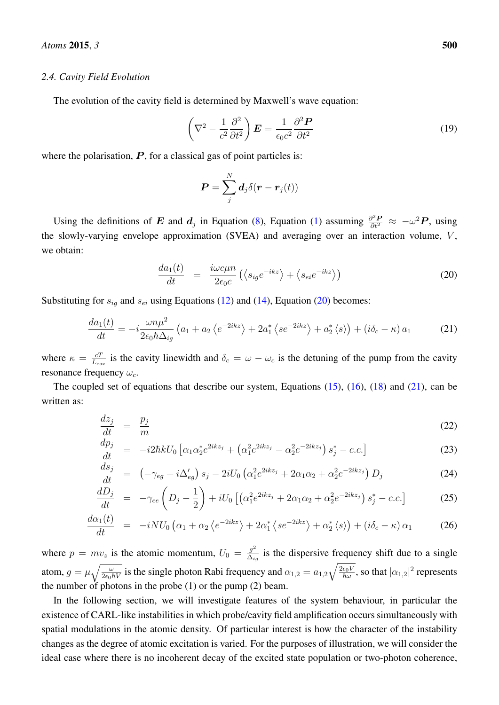#### *2.4. Cavity Field Evolution*

The evolution of the cavity field is determined by Maxwell's wave equation:

$$
\left(\nabla^2 - \frac{1}{c^2} \frac{\partial^2}{\partial t^2}\right) \boldsymbol{E} = \frac{1}{\epsilon_0 c^2} \frac{\partial^2 \boldsymbol{P}}{\partial t^2}
$$
\n(19)

where the polarisation,  $P$ , for a classical gas of point particles is:

$$
\boldsymbol{P} = \sum_j^N \boldsymbol{d}_j \delta(\boldsymbol{r}-\boldsymbol{r}_j(t))
$$

Using the definitions of E and  $d_j$  in Equation [\(8\)](#page-3-1), Equation [\(1\)](#page-3-2) assuming  $\frac{\partial^2 P}{\partial t^2} \approx -\omega^2 P$ , using the slowly-varying envelope approximation (SVEA) and averaging over an interaction volume,  $V$ , we obtain:

<span id="page-5-0"></span>
$$
\frac{da_1(t)}{dt} = \frac{i\omega c\mu n}{2\epsilon_0 c} \left( \langle s_{ig} e^{-ikz} \rangle + \langle s_{ei} e^{-ikz} \rangle \right) \tag{20}
$$

Substituting for  $s_{ig}$  and  $s_{ei}$  using Equations [\(12\)](#page-4-1) and [\(14\)](#page-4-2), Equation [\(20\)](#page-5-0) becomes:

<span id="page-5-1"></span>
$$
\frac{da_1(t)}{dt} = -i\frac{\omega n\mu^2}{2\epsilon_0\hbar\Delta_{ig}}\left(a_1 + a_2\left\langle e^{-2ikz}\right\rangle + 2a_1^*\left\langle se^{-2ikz}\right\rangle + a_2^*\left\langle s\right\rangle\right) + \left(i\delta_c - \kappa\right)a_1\tag{21}
$$

where  $\kappa = \frac{cT}{L}$  $\frac{cT}{L_{\text{cav}}}$  is the cavity linewidth and  $\delta_c = \omega - \omega_c$  is the detuning of the pump from the cavity resonance frequency  $\omega_c$ .

The coupled set of equations that describe our system, Equations  $(15)$ ,  $(16)$ ,  $(18)$  and  $(21)$ , can be written as:

<span id="page-5-2"></span>
$$
\frac{dz_j}{dt} = \frac{p_j}{m} \tag{22}
$$

$$
\frac{dp_j}{dt} = -i2\hbar k U_0 \left[ \alpha_1 \alpha_2^* e^{2ikz_j} + \left( \alpha_1^2 e^{2ikz_j} - \alpha_2^2 e^{-2ikz_j} \right) s_j^* - c.c. \right]
$$
\n(23)

$$
\frac{ds_j}{dt} = \left(-\gamma_{eg} + i\Delta'_{eg}\right)s_j - 2iU_0\left(\alpha_1^2 e^{2ikz_j} + 2\alpha_1\alpha_2 + \alpha_2^2 e^{-2ikz_j}\right)D_j\tag{24}
$$

$$
\frac{dD_j}{dt} = -\gamma_{ee} \left( D_j - \frac{1}{2} \right) + iU_0 \left[ \left( \alpha_1^2 e^{2ikz_j} + 2\alpha_1 \alpha_2 + \alpha_2^2 e^{-2ikz_j} \right) s_j^* - c.c. \right]
$$
\n(25)

$$
\frac{d\alpha_1(t)}{dt} = -iNU_0 \left( \alpha_1 + \alpha_2 \left\langle e^{-2ikz} \right\rangle + 2\alpha_1^* \left\langle se^{-2ikz} \right\rangle + \alpha_2^* \left\langle s \right\rangle \right) + \left( i\delta_c - \kappa \right) \alpha_1 \tag{26}
$$

where  $p = mv_z$  is the atomic momentum,  $U_0 = \frac{g^2}{\Delta z}$  $rac{g^2}{\Delta_{ig}}$  is the dispersive frequency shift due to a single atom,  $g = \mu \sqrt{\frac{\omega}{2\epsilon_0 \hbar V}}$  is the single photon Rabi frequency and  $\alpha_{1,2} = a_{1,2}\sqrt{\frac{2\epsilon_0 V}{\hbar \omega}}$ , so that  $|\alpha_{1,2}|^2$  represents the number of photons in the probe (1) or the pump (2) beam.

In the following section, we will investigate features of the system behaviour, in particular the existence of CARL-like instabilities in which probe/cavity field amplification occurs simultaneously with spatial modulations in the atomic density. Of particular interest is how the character of the instability changes as the degree of atomic excitation is varied. For the purposes of illustration, we will consider the ideal case where there is no incoherent decay of the excited state population or two-photon coherence,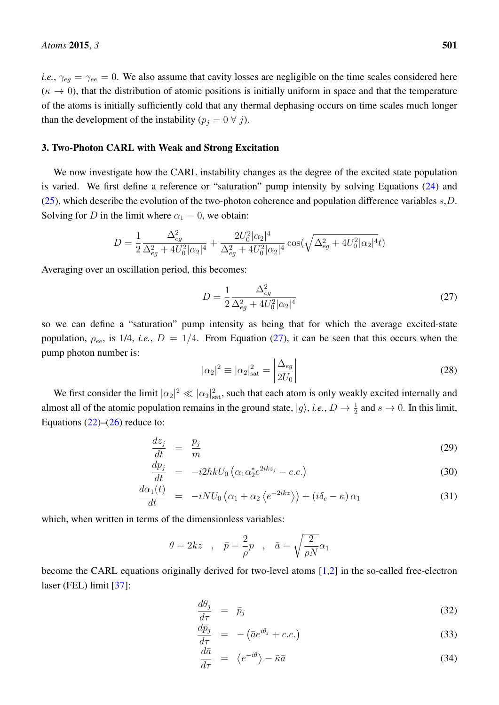*i.e.*,  $\gamma_{eg} = \gamma_{ee} = 0$ . We also assume that cavity losses are negligible on the time scales considered here  $(\kappa \to 0)$ , that the distribution of atomic positions is initially uniform in space and that the temperature of the atoms is initially sufficiently cold that any thermal dephasing occurs on time scales much longer than the development of the instability  $(p_j = 0 \ \forall j)$ .

#### 3. Two-Photon CARL with Weak and Strong Excitation

We now investigate how the CARL instability changes as the degree of the excited state population is varied. We first define a reference or "saturation" pump intensity by solving Equations [\(24\)](#page-5-2) and [\(25\)](#page-5-2), which describe the evolution of the two-photon coherence and population difference variables  $s, D$ . Solving for D in the limit where  $\alpha_1 = 0$ , we obtain:

$$
D = \frac{1}{2} \frac{\Delta_{eg}^2}{\Delta_{eg}^2 + 4U_0^2 |\alpha_2|^4} + \frac{2U_0^2 |\alpha_2|^4}{\Delta_{eg}^2 + 4U_0^2 |\alpha_2|^4} \cos(\sqrt{\Delta_{eg}^2 + 4U_0^2 |\alpha_2|^4}t)
$$

Averaging over an oscillation period, this becomes:

<span id="page-6-0"></span>
$$
D = \frac{1}{2} \frac{\Delta_{eg}^2}{\Delta_{eg}^2 + 4U_0^2 |\alpha_2|^4}
$$
 (27)

so we can define a "saturation" pump intensity as being that for which the average excited-state population,  $\rho_{ee}$ , is 1/4, *i.e.*,  $D = 1/4$ . From Equation [\(27\)](#page-6-0), it can be seen that this occurs when the pump photon number is:

$$
|\alpha_2|^2 \equiv |\alpha_2|_{\text{sat}}^2 = \left| \frac{\Delta_{eg}}{2U_0} \right| \tag{28}
$$

We first consider the limit  $|\alpha_2|^2 \ll |\alpha_2|^2_{\text{sat}}$ , such that each atom is only weakly excited internally and almost all of the atomic population remains in the ground state,  $|g\rangle$ , *i.e.*,  $D \to \frac{1}{2}$  and  $s \to 0$ . In this limit, Equations  $(22)$ – $(26)$  reduce to:

$$
\frac{dz_j}{dt} = \frac{p_j}{m} \tag{29}
$$

$$
\frac{dp_j}{dt} = -i2\hbar k U_0 \left(\alpha_1 \alpha_2^* e^{2ikz_j} - c.c.\right) \tag{30}
$$

$$
\frac{d\alpha_1(t)}{dt} = -iNU_0\left(\alpha_1 + \alpha_2\left\langle e^{-2ikz}\right\rangle\right) + \left(i\delta_c - \kappa\right)\alpha_1\tag{31}
$$

which, when written in terms of the dimensionless variables:

$$
\theta=2kz \quad , \quad \bar p=\frac{2}{\rho}p \quad , \quad \bar a=\sqrt{\frac{2}{\rho N}}\alpha_1
$$

become the CARL equations originally derived for two-level atoms [\[1](#page-11-0)[,2\]](#page-11-1) in the so-called free-electron laser (FEL) limit [\[37\]](#page-13-7):

$$
\frac{d\theta_j}{d\tau} = \bar{p}_j \tag{32}
$$

$$
\frac{d\bar{p}_j}{d\tau} = -(\bar{a}e^{i\theta_j} + c.c.)\tag{33}
$$

$$
\frac{d\bar{a}}{d\tau} = \langle e^{-i\theta} \rangle - \bar{\kappa}\bar{a} \tag{34}
$$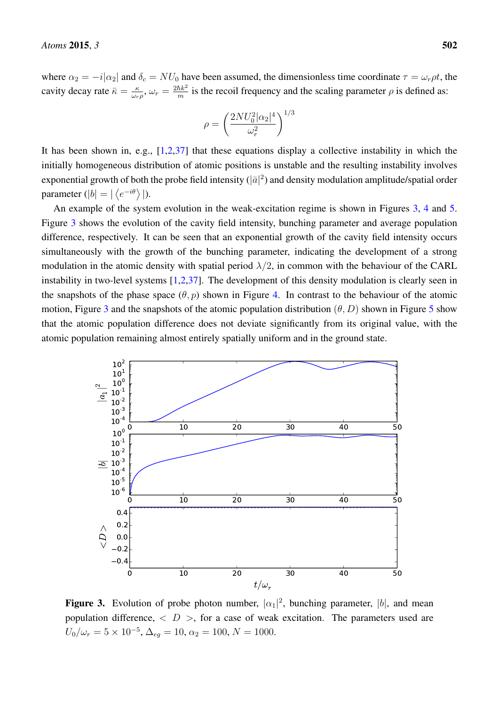where  $\alpha_2 = -i|\alpha_2|$  and  $\delta_c = NU_0$  have been assumed, the dimensionless time coordinate  $\tau = \omega_r \rho t$ , the cavity decay rate  $\bar{\kappa} = \frac{\kappa}{\omega_c}$  $\frac{\kappa}{\omega_r \rho}, \, \omega_r = \frac{2 \hbar k^2}{m}$  $\frac{\hbar k^2}{m}$  is the recoil frequency and the scaling parameter  $\rho$  is defined as:

$$
\rho = \left(\frac{2NU_0^2|\alpha_2|^4}{\omega_r^2}\right)^{1/3}
$$

It has been shown in, e.g., [\[1,](#page-11-0)[2,](#page-11-1)[37\]](#page-13-7) that these equations display a collective instability in which the initially homogeneous distribution of atomic positions is unstable and the resulting instability involves exponential growth of both the probe field intensity ( $|\bar{a}|^2$ ) and density modulation amplitude/spatial order parameter (|b| =  $|\langle e^{-i\theta} \rangle|$ ).

An example of the system evolution in the weak-excitation regime is shown in Figures [3,](#page-7-0) [4](#page-8-0) and [5.](#page-8-1) Figure [3](#page-7-0) shows the evolution of the cavity field intensity, bunching parameter and average population difference, respectively. It can be seen that an exponential growth of the cavity field intensity occurs simultaneously with the growth of the bunching parameter, indicating the development of a strong modulation in the atomic density with spatial period  $\lambda/2$ , in common with the behaviour of the CARL instability in two-level systems  $[1,2,37]$  $[1,2,37]$  $[1,2,37]$ . The development of this density modulation is clearly seen in the snapshots of the phase space  $(\theta, p)$  shown in Figure [4.](#page-8-0) In contrast to the behaviour of the atomic motion, Figure [3](#page-7-0) and the snapshots of the atomic population distribution  $(\theta, D)$  shown in Figure [5](#page-8-1) show that the atomic population difference does not deviate significantly from its original value, with the atomic population remaining almost entirely spatially uniform and in the ground state.

<span id="page-7-0"></span>

**Figure 3.** Evolution of probe photon number,  $|\alpha_1|^2$ , bunching parameter,  $|b|$ , and mean population difference,  $\langle D \rangle$ , for a case of weak excitation. The parameters used are  $U_0/\omega_r = 5 \times 10^{-5}$ ,  $\Delta_{eg} = 10$ ,  $\alpha_2 = 100$ ,  $N = 1000$ .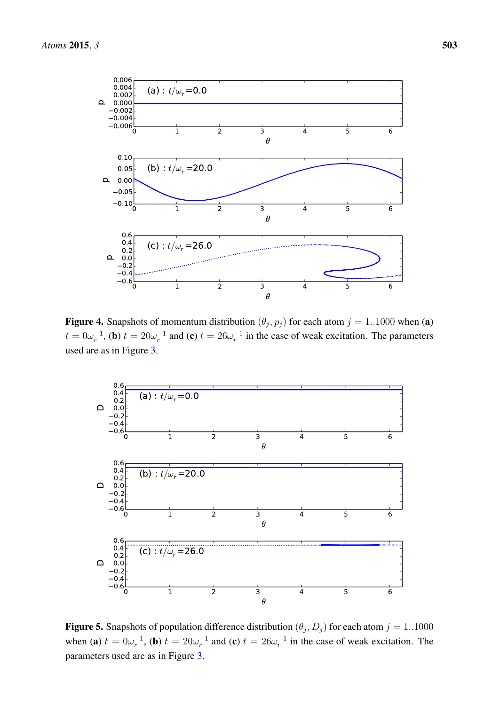<span id="page-8-0"></span>

**Figure 4.** Snapshots of momentum distribution  $(\theta_j, p_j)$  for each atom  $j = 1..1000$  when (a)  $t = 0\omega_r^{-1}$ , (b)  $t = 20\omega_r^{-1}$  and (c)  $t = 26\omega_r^{-1}$  in the case of weak excitation. The parameters used are as in Figure [3.](#page-7-0)

<span id="page-8-1"></span>

**Figure 5.** Snapshots of population difference distribution  $(\theta_j, D_j)$  for each atom  $j = 1..1000$ when (a)  $t = 0\omega_r^{-1}$ , (b)  $t = 20\omega_r^{-1}$  and (c)  $t = 26\omega_r^{-1}$  in the case of weak excitation. The parameters used are as in Figure [3.](#page-7-0)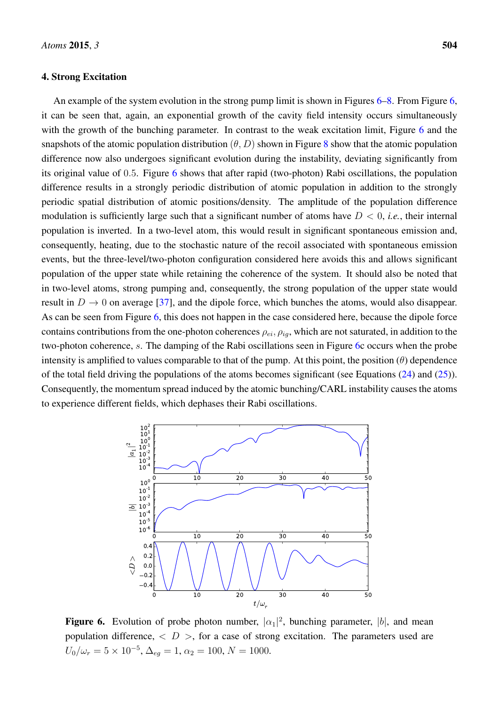#### 4. Strong Excitation

An example of the system evolution in the strong pump limit is shown in Figures [6–](#page-9-0)[8.](#page-10-0) From Figure [6,](#page-9-0) it can be seen that, again, an exponential growth of the cavity field intensity occurs simultaneously with the growth of the bunching parameter. In contrast to the weak excitation limit, Figure [6](#page-9-0) and the snapshots of the atomic population distribution  $(\theta, D)$  shown in Figure [8](#page-10-0) show that the atomic population difference now also undergoes significant evolution during the instability, deviating significantly from its original value of 0.5. Figure [6](#page-9-0) shows that after rapid (two-photon) Rabi oscillations, the population difference results in a strongly periodic distribution of atomic population in addition to the strongly periodic spatial distribution of atomic positions/density. The amplitude of the population difference modulation is sufficiently large such that a significant number of atoms have  $D < 0$ , *i.e.*, their internal population is inverted. In a two-level atom, this would result in significant spontaneous emission and, consequently, heating, due to the stochastic nature of the recoil associated with spontaneous emission events, but the three-level/two-photon configuration considered here avoids this and allows significant population of the upper state while retaining the coherence of the system. It should also be noted that in two-level atoms, strong pumping and, consequently, the strong population of the upper state would result in  $D \to 0$  on average [\[37\]](#page-13-7), and the dipole force, which bunches the atoms, would also disappear. As can be seen from Figure [6,](#page-9-0) this does not happen in the case considered here, because the dipole force contains contributions from the one-photon coherences  $\rho_{ei}, \rho_{io}$ , which are not saturated, in addition to the two-photon coherence, s. The damping of the Rabi oscillations seen in Figure [6c](#page-9-0) occurs when the probe intensity is amplified to values comparable to that of the pump. At this point, the position  $(\theta)$  dependence of the total field driving the populations of the atoms becomes significant (see Equations  $(24)$  and  $(25)$ ). Consequently, the momentum spread induced by the atomic bunching/CARL instability causes the atoms to experience different fields, which dephases their Rabi oscillations.

<span id="page-9-0"></span>

**Figure 6.** Evolution of probe photon number,  $|\alpha_1|^2$ , bunching parameter,  $|b|$ , and mean population difference,  $\langle D \rangle$ , for a case of strong excitation. The parameters used are  $U_0/\omega_r = 5 \times 10^{-5}, \Delta_{eg} = 1, \alpha_2 = 100, N = 1000.$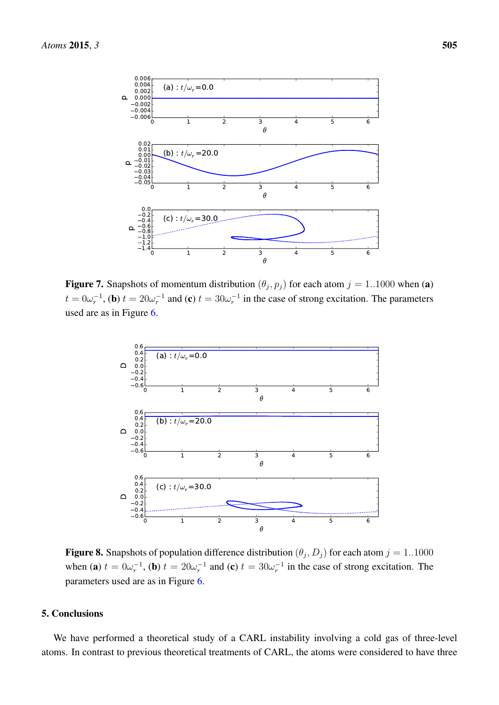

<span id="page-10-0"></span>**Figure 7.** Snapshots of momentum distribution  $(\theta_j, p_j)$  for each atom  $j = 1..1000$  when (a)  $t = 0\omega_r^{-1}$ , (b)  $t = 20\omega_r^{-1}$  and (c)  $t = 30\omega_r^{-1}$  in the case of strong excitation. The parameters used are as in Figure [6.](#page-9-0)



**Figure 8.** Snapshots of population difference distribution  $(\theta_j, D_j)$  for each atom  $j = 1..1000$ when (a)  $t = 0\omega_r^{-1}$ , (b)  $t = 20\omega_r^{-1}$  and (c)  $t = 30\omega_r^{-1}$  in the case of strong excitation. The parameters used are as in Figure [6.](#page-9-0)

#### 5. Conclusions

We have performed a theoretical study of a CARL instability involving a cold gas of three-level atoms. In contrast to previous theoretical treatments of CARL, the atoms were considered to have three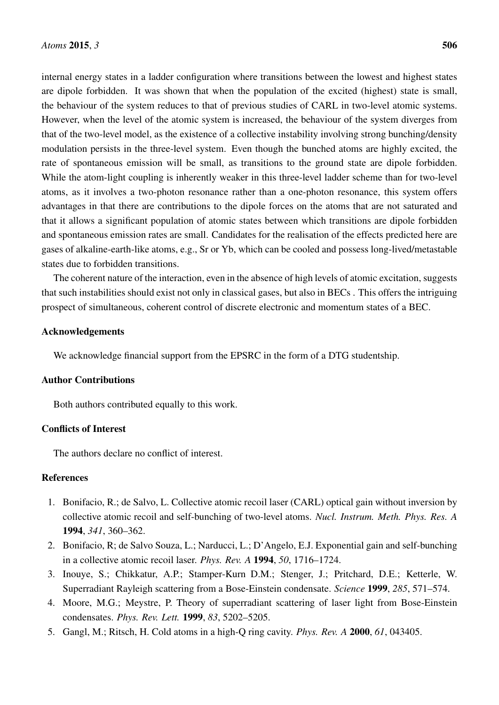internal energy states in a ladder configuration where transitions between the lowest and highest states are dipole forbidden. It was shown that when the population of the excited (highest) state is small, the behaviour of the system reduces to that of previous studies of CARL in two-level atomic systems. However, when the level of the atomic system is increased, the behaviour of the system diverges from that of the two-level model, as the existence of a collective instability involving strong bunching/density modulation persists in the three-level system. Even though the bunched atoms are highly excited, the rate of spontaneous emission will be small, as transitions to the ground state are dipole forbidden. While the atom-light coupling is inherently weaker in this three-level ladder scheme than for two-level atoms, as it involves a two-photon resonance rather than a one-photon resonance, this system offers advantages in that there are contributions to the dipole forces on the atoms that are not saturated and that it allows a significant population of atomic states between which transitions are dipole forbidden and spontaneous emission rates are small. Candidates for the realisation of the effects predicted here are gases of alkaline-earth-like atoms, e.g., Sr or Yb, which can be cooled and possess long-lived/metastable states due to forbidden transitions.

The coherent nature of the interaction, even in the absence of high levels of atomic excitation, suggests that such instabilities should exist not only in classical gases, but also in BECs . This offers the intriguing prospect of simultaneous, coherent control of discrete electronic and momentum states of a BEC.

#### Acknowledgements

We acknowledge financial support from the EPSRC in the form of a DTG studentship.

## Author Contributions

Both authors contributed equally to this work.

## Conflicts of Interest

The authors declare no conflict of interest.

## **References**

- <span id="page-11-0"></span>1. Bonifacio, R.; de Salvo, L. Collective atomic recoil laser (CARL) optical gain without inversion by collective atomic recoil and self-bunching of two-level atoms. *Nucl. Instrum. Meth. Phys. Res. A* 1994, *341*, 360–362.
- <span id="page-11-1"></span>2. Bonifacio, R; de Salvo Souza, L.; Narducci, L.; D'Angelo, E.J. Exponential gain and self-bunching in a collective atomic recoil laser. *Phys. Rev. A* 1994, *50*, 1716–1724.
- <span id="page-11-2"></span>3. Inouye, S.; Chikkatur, A.P.; Stamper-Kurn D.M.; Stenger, J.; Pritchard, D.E.; Ketterle, W. Superradiant Rayleigh scattering from a Bose-Einstein condensate. *Science* 1999, *285*, 571–574.
- 4. Moore, M.G.; Meystre, P. Theory of superradiant scattering of laser light from Bose-Einstein condensates. *Phys. Rev. Lett.* 1999, *83*, 5202–5205.
- 5. Gangl, M.; Ritsch, H. Cold atoms in a high-Q ring cavity. *Phys. Rev. A* 2000, *61*, 043405.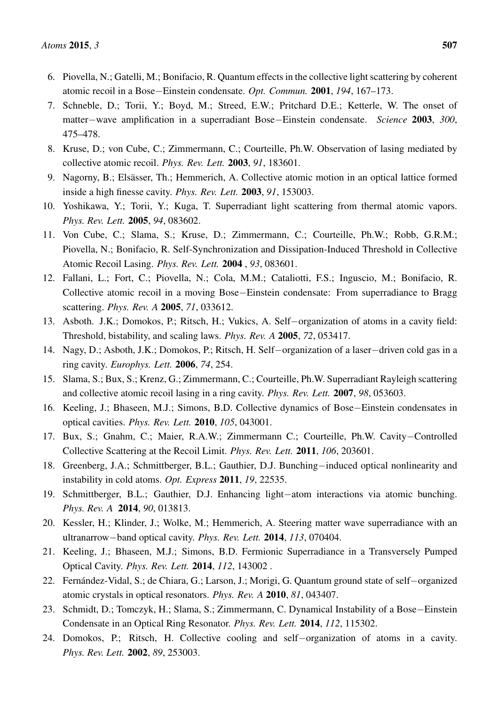- 6. Piovella, N.; Gatelli, M.; Bonifacio, R. Quantum effects in the collective light scattering by coherent atomic recoil in a Bose−Einstein condensate. *Opt. Commun.* 2001, *194*, 167–173.
- <span id="page-12-4"></span>7. Schneble, D.; Torii, Y.; Boyd, M.; Streed, E.W.; Pritchard D.E.; Ketterle, W. The onset of matter−wave amplification in a superradiant Bose−Einstein condensate. *Science* 2003, *300*, 475–478.
- <span id="page-12-2"></span>8. Kruse, D.; von Cube, C.; Zimmermann, C.; Courteille, Ph.W. Observation of lasing mediated by collective atomic recoil. *Phys. Rev. Lett.* 2003, *91*, 183601.
- <span id="page-12-8"></span>9. Nagorny, B.; Elsässer, Th.; Hemmerich, A. Collective atomic motion in an optical lattice formed inside a high finesse cavity. *Phys. Rev. Lett.* 2003, *91*, 153003.
- <span id="page-12-9"></span>10. Yoshikawa, Y.; Torii, Y.; Kuga, T. Superradiant light scattering from thermal atomic vapors. *Phys. Rev. Lett.* 2005, *94*, 083602.
- <span id="page-12-3"></span>11. Von Cube, C.; Slama, S.; Kruse, D.; Zimmermann, C.; Courteille, Ph.W.; Robb, G.R.M.; Piovella, N.; Bonifacio, R. Self-Synchronization and Dissipation-Induced Threshold in Collective Atomic Recoil Lasing. *Phys. Rev. Lett.* 2004 , *93*, 083601.
- <span id="page-12-5"></span>12. Fallani, L.; Fort, C.; Piovella, N.; Cola, M.M.; Cataliotti, F.S.; Inguscio, M.; Bonifacio, R. Collective atomic recoil in a moving Bose−Einstein condensate: From superradiance to Bragg scattering. *Phys. Rev. A* 2005, *71*, 033612.
- 13. Asboth. J.K.; Domokos, P.; Ritsch, H.; Vukics, A. Self−organization of atoms in a cavity field: Threshold, bistability, and scaling laws. *Phys. Rev. A* 2005, *72*, 053417.
- 14. Nagy, D.; Asboth, J.K.; Domokos, P.; Ritsch, H. Self−organization of a laser−driven cold gas in a ring cavity. *Europhys. Lett.* 2006, *74*, 254.
- 15. Slama, S.; Bux, S.; Krenz, G.; Zimmermann, C.; Courteille, Ph.W. Superradiant Rayleigh scattering and collective atomic recoil lasing in a ring cavity. *Phys. Rev. Lett.* 2007, *98*, 053603.
- 16. Keeling, J.; Bhaseen, M.J.; Simons, B.D. Collective dynamics of Bose−Einstein condensates in optical cavities. *Phys. Rev. Lett.* 2010, *105*, 043001.
- <span id="page-12-6"></span>17. Bux, S.; Gnahm, C.; Maier, R.A.W.; Zimmermann C.; Courteille, Ph.W. Cavity−Controlled Collective Scattering at the Recoil Limit. *Phys. Rev. Lett.* 2011, *106*, 203601.
- <span id="page-12-10"></span>18. Greenberg, J.A.; Schmittberger, B.L.; Gauthier, D.J. Bunching−induced optical nonlinearity and instability in cold atoms. *Opt. Express* 2011, *19*, 22535.
- <span id="page-12-11"></span>19. Schmittberger, B.L.; Gauthier, D.J. Enhancing light−atom interactions via atomic bunching. *Phys. Rev. A* 2014, *90*, 013813.
- <span id="page-12-7"></span>20. Kessler, H.; Klinder, J.; Wolke, M.; Hemmerich, A. Steering matter wave superradiance with an ultranarrow−band optical cavity. *Phys. Rev. Lett.* 2014, *113*, 070404.
- 21. Keeling, J.; Bhaseen, M.J.; Simons, B.D. Fermionic Superradiance in a Transversely Pumped Optical Cavity. *Phys. Rev. Lett.* 2014, *112*, 143002 .
- 22. Fernández-Vidal, S.; de Chiara, G.; Larson, J.; Morigi, G. Quantum ground state of self−organized atomic crystals in optical resonators. *Phys. Rev. A* 2010, *81*, 043407.
- <span id="page-12-0"></span>23. Schmidt, D.; Tomczyk, H.; Slama, S.; Zimmermann, C. Dynamical Instability of a Bose−Einstein Condensate in an Optical Ring Resonator. *Phys. Rev. Lett.* 2014, *112*, 115302.
- <span id="page-12-1"></span>24. Domokos, P.; Ritsch, H. Collective cooling and self−organization of atoms in a cavity. *Phys. Rev. Lett.* 2002, *89*, 253003.